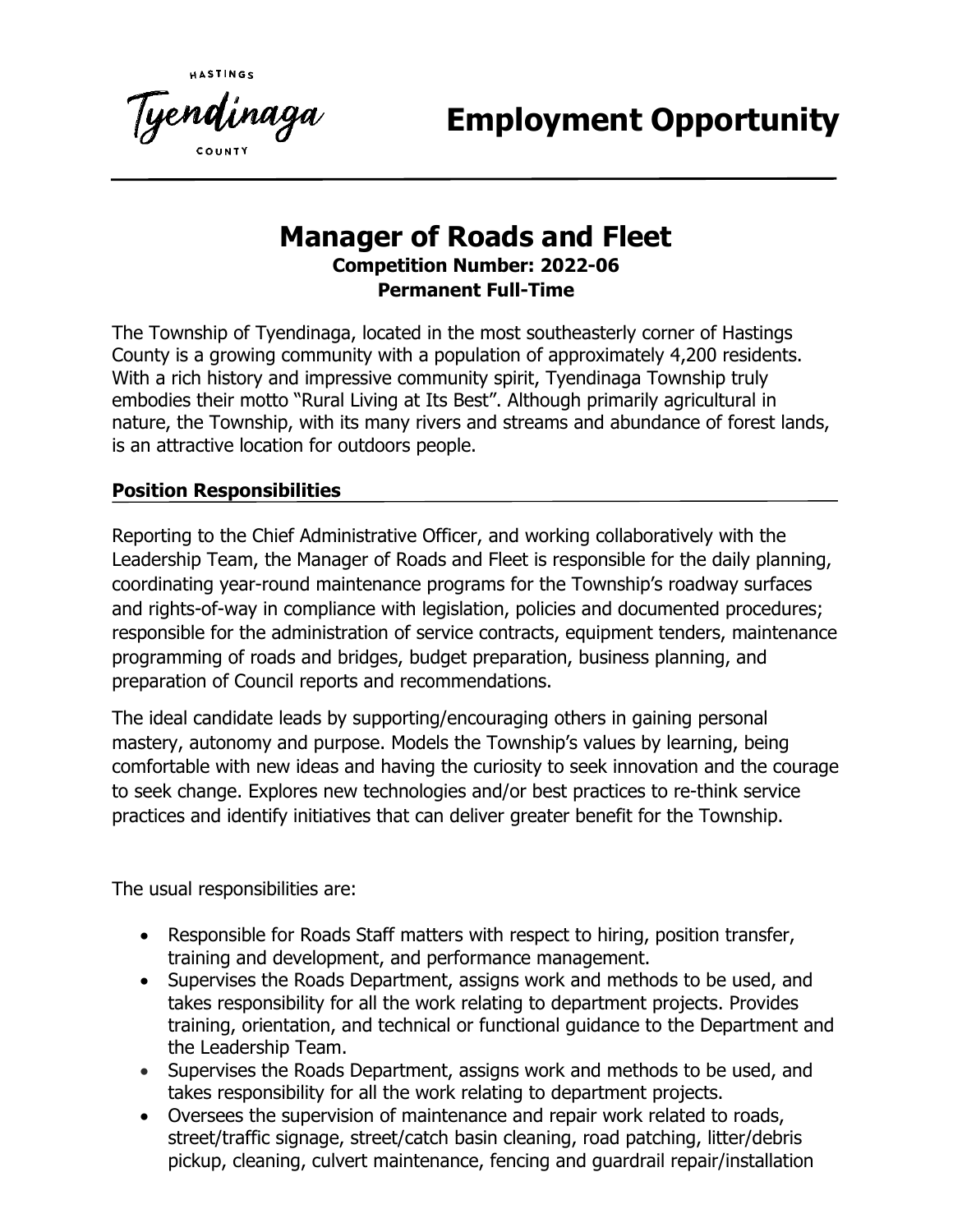**Employment Opportunity**

# **Manager of Roads and Fleet Competition Number: 2022-06 Permanent Full-Time**

The Township of Tyendinaga, located in the most southeasterly corner of Hastings County is a growing community with a population of approximately 4,200 residents. With a rich history and impressive community spirit, Tyendinaga Township truly embodies their motto "Rural Living at Its Best". Although primarily agricultural in nature, the Township, with its many rivers and streams and abundance of forest lands, is an attractive location for outdoors people.

## **Position Responsibilities**

Tye**nd**inaga

Reporting to the Chief Administrative Officer, and working collaboratively with the Leadership Team, the Manager of Roads and Fleet is responsible for the daily planning, coordinating year-round maintenance programs for the Township's roadway surfaces and rights-of-way in compliance with legislation, policies and documented procedures; responsible for the administration of service contracts, equipment tenders, maintenance programming of roads and bridges, budget preparation, business planning, and preparation of Council reports and recommendations.

The ideal candidate leads by supporting/encouraging others in gaining personal mastery, autonomy and purpose. Models the Township's values by learning, being comfortable with new ideas and having the curiosity to seek innovation and the courage to seek change. Explores new technologies and/or best practices to re-think service practices and identify initiatives that can deliver greater benefit for the Township.

The usual responsibilities are:

- Responsible for Roads Staff matters with respect to hiring, position transfer, training and development, and performance management.
- Supervises the Roads Department, assigns work and methods to be used, and takes responsibility for all the work relating to department projects. Provides training, orientation, and technical or functional guidance to the Department and the Leadership Team.
- Supervises the Roads Department, assigns work and methods to be used, and takes responsibility for all the work relating to department projects.
- Oversees the supervision of maintenance and repair work related to roads, street/traffic signage, street/catch basin cleaning, road patching, litter/debris pickup, cleaning, culvert maintenance, fencing and guardrail repair/installation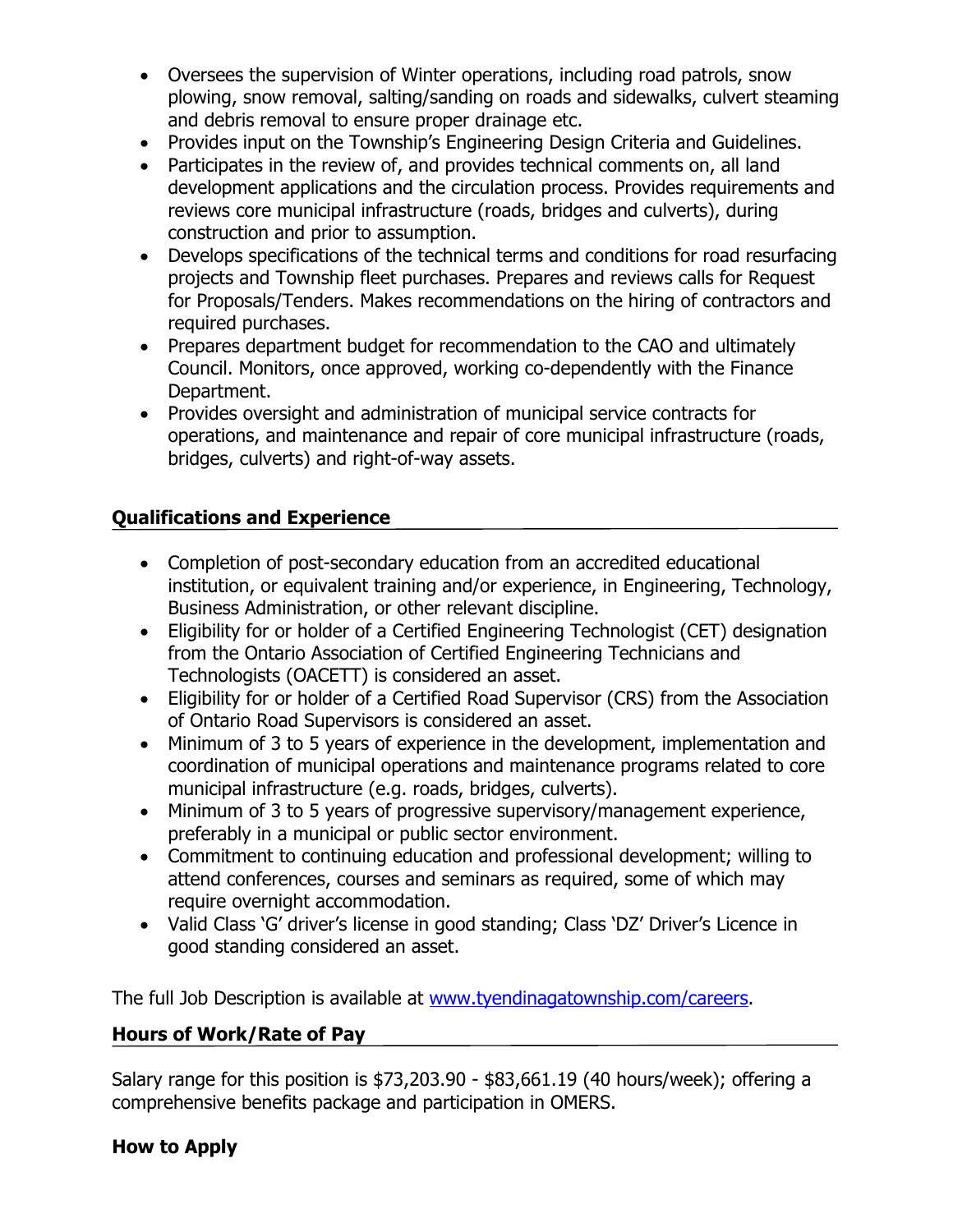- Oversees the supervision of Winter operations, including road patrols, snow plowing, snow removal, salting/sanding on roads and sidewalks, culvert steaming and debris removal to ensure proper drainage etc.
- Provides input on the Township's Engineering Design Criteria and Guidelines.
- Participates in the review of, and provides technical comments on, all land development applications and the circulation process. Provides requirements and reviews core municipal infrastructure (roads, bridges and culverts), during construction and prior to assumption.
- Develops specifications of the technical terms and conditions for road resurfacing projects and Township fleet purchases. Prepares and reviews calls for Request for Proposals/Tenders. Makes recommendations on the hiring of contractors and required purchases.
- Prepares department budget for recommendation to the CAO and ultimately Council. Monitors, once approved, working co-dependently with the Finance Department.
- Provides oversight and administration of municipal service contracts for operations, and maintenance and repair of core municipal infrastructure (roads, bridges, culverts) and right-of-way assets.

## **Qualifications and Experience**

- Completion of post-secondary education from an accredited educational institution, or equivalent training and/or experience, in Engineering, Technology, Business Administration, or other relevant discipline.
- Eligibility for or holder of a Certified Engineering Technologist (CET) designation from the Ontario Association of Certified Engineering Technicians and Technologists (OACETT) is considered an asset.
- Eligibility for or holder of a Certified Road Supervisor (CRS) from the Association of Ontario Road Supervisors is considered an asset.
- Minimum of 3 to 5 years of experience in the development, implementation and coordination of municipal operations and maintenance programs related to core municipal infrastructure (e.g. roads, bridges, culverts).
- Minimum of 3 to 5 years of progressive supervisory/management experience, preferably in a municipal or public sector environment.
- Commitment to continuing education and professional development; willing to attend conferences, courses and seminars as required, some of which may require overnight accommodation.
- Valid Class 'G' driver's license in good standing; Class 'DZ' Driver's Licence in good standing considered an asset.

The full Job Description is available at [www.tyendinagatownship.com/careers.](http://www.tyendinagatownship.com/careers)

## **Hours of Work/Rate of Pay**

Salary range for this position is \$73,203.90 - \$83,661.19 (40 hours/week); offering a comprehensive benefits package and participation in OMERS.

## **How to Apply**